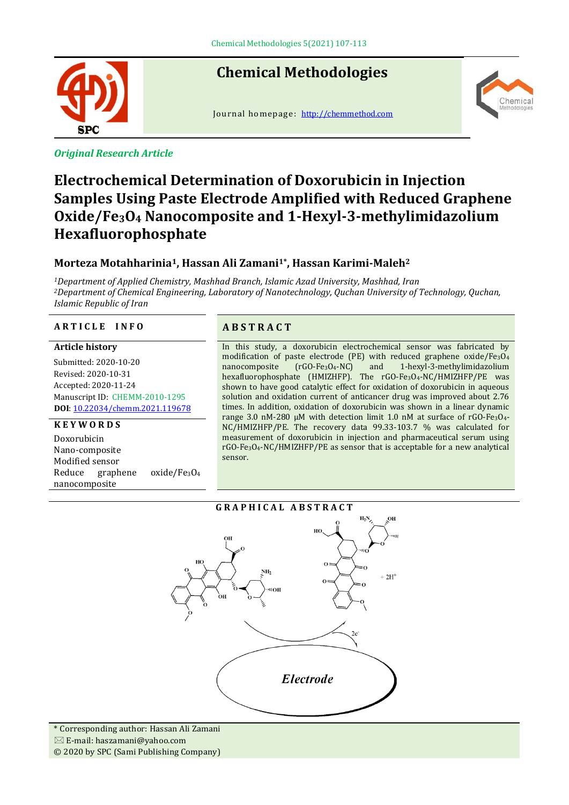

# **Chemical Methodologies**

Journal homepage: [http://chemmethod.com](http://chemmethod.com/)



*Original Research Article*

# **Electrochemical Determination of Doxorubicin in Injection Samples Using Paste Electrode Amplified with Reduced Graphene Oxide/Fe3O<sup>4</sup> Nanocomposite and 1-Hexyl-3-methylimidazolium Hexafluorophosphate**

## **Morteza Motahharinia1, Hassan Ali Zamani1\* , Hassan Karimi-Maleh<sup>2</sup>**

*<sup>1</sup>Department of Applied Chemistry, Mashhad Branch, Islamic Azad University, Mashhad, Iran <sup>2</sup>Department of Chemical Engineering, Laboratory of Nanotechnology, Quchan University of Technology, Quchan, Islamic Republic of Iran*

#### **A R T I C L E I N F O A B S T R A C T**

#### **Article history**

Submitted: 2020-10-20 Revised: 2020-10-31 Accepted: 2020-11-24 Manuscript ID: CHEMM-2010-1295 **DOI**: [10.22034/chemm.2021.119678](https://dx.doi.org/10.22034/chemm.2021.119678)

#### **K E Y W O R D S**

Doxorubicin Nano-composite Modified sensor Reduce graphene oxide/Fe3O<sup>4</sup> nanocomposite

In this study, a doxorubicin electrochemical sensor was fabricated by modification of paste electrode (PE) with reduced graphene oxide/Fe3O<sup>4</sup> nanocomposite (rGO-Fe3O4-NC) and 1-hexyl-3-methylimidazolium hexafluorophosphate (HMIZHFP). The rGO-Fe3O4-NC/HMIZHFP/PE was shown to have good catalytic effect for oxidation of doxorubicin in aqueous solution and oxidation current of anticancer drug was improved about 2.76 times. In addition, oxidation of doxorubicin was shown in a linear dynamic range 3.0 nM-280 µM with detection limit 1.0 nM at surface of rGO-Fe3O4- NC/HMIZHFP/PE. The recovery data 99.33-103.7 % was calculated for measurement of doxorubicin in injection and pharmaceutical serum using rGO-Fe3O4-NC/HMIZHFP/PE as sensor that is acceptable for a new analytical sensor.

#### **G R A P H I C A L A B S T R A C T**  $H_2N$



\* Corresponding author: Hassan Ali Zamani  $\boxtimes$  E-mail: haszamani@yahoo.com © 2020 by SPC (Sami Publishing Company)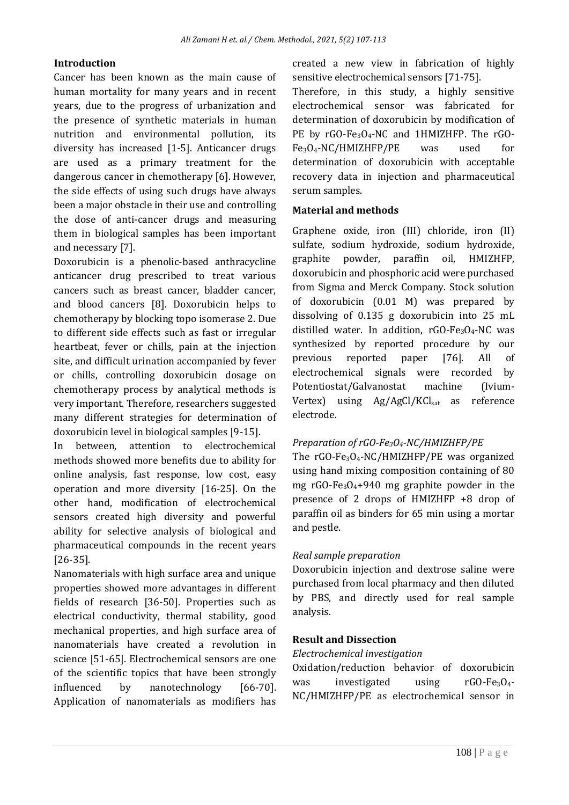#### **Introduction**

Cancer has been known as the main cause of human mortality for many years and in recent years, due to the progress of urbanization and the presence of synthetic materials in human nutrition and environmental pollution, its diversity has increased [1-5]. Anticancer drugs are used as a primary treatment for the dangerous cancer in chemotherapy [6]. However, the side effects of using such drugs have always been a major obstacle in their use and controlling the dose of anti-cancer drugs and measuring them in biological samples has been important and necessary [7].

Doxorubicin is a phenolic-based anthracycline anticancer drug prescribed to treat various cancers such as breast cancer, bladder cancer, and blood cancers [8]. Doxorubicin helps to chemotherapy by blocking topo isomerase 2. Due to different side effects such as fast or irregular heartbeat, fever or chills, pain at the injection site, and difficult urination accompanied by fever or chills, controlling doxorubicin dosage on chemotherapy process by analytical methods is very important. Therefore, researchers suggested many different strategies for determination of doxorubicin level in biological samples [9-15].

In between, attention to electrochemical methods showed more benefits due to ability for online analysis, fast response, low cost, easy operation and more diversity [16-25]. On the other hand, modification of electrochemical sensors created high diversity and powerful ability for selective analysis of biological and pharmaceutical compounds in the recent years [26-35].

Nanomaterials with high surface area and unique properties showed more advantages in different fields of research [36-50]. Properties such as electrical conductivity, thermal stability, good mechanical properties, and high surface area of nanomaterials have created a revolution in science [51-65]. Electrochemical sensors are one of the scientific topics that have been strongly influenced by nanotechnology [66-70]. Application of nanomaterials as modifiers has created a new view in fabrication of highly sensitive electrochemical sensors [71-75].

Therefore, in this study, a highly sensitive electrochemical sensor was fabricated for determination of doxorubicin by modification of PE by rGO-Fe<sub>3</sub>O<sub>4</sub>-NC and 1HMIZHFP. The rGO-Fe3O4-NC/HMIZHFP/PE was used for determination of doxorubicin with acceptable recovery data in injection and pharmaceutical serum samples.

#### **Material and methods**

Graphene oxide, iron (III) chloride, iron (II) sulfate, sodium hydroxide, sodium hydroxide, graphite powder, paraffin oil, HMIZHFP, doxorubicin and phosphoric acid were purchased from Sigma and Merck Company. Stock solution of doxorubicin (0.01 M) was prepared by dissolving of 0.135 g doxorubicin into 25 mL distilled water. In addition,  $rGO-Fe_3O_4-NC$  was synthesized by reported procedure by our previous reported paper [76]. All of electrochemical signals were recorded by Potentiostat/Galvanostat machine (Ivium-Vertex) using Ag/AgCl/KClsat as reference electrode.

#### *Preparation of rGO-Fe3O4-NC/HMIZHFP/PE*

The rGO-Fe3O4-NC/HMIZHFP/PE was organized using hand mixing composition containing of 80 mg  $rGO-Fe<sub>3</sub>O<sub>4</sub>+940$  mg graphite powder in the presence of 2 drops of HMIZHFP +8 drop of paraffin oil as binders for 65 min using a mortar and pestle.

#### *Real sample preparation*

Doxorubicin injection and dextrose saline were purchased from local pharmacy and then diluted by PBS, and directly used for real sample analysis.

#### **Result and Dissection**

#### *Electrochemical investigation*

Oxidation/reduction behavior of doxorubicin was investigated using rGO-Fe<sub>3</sub>O<sub>4</sub>-NC/HMIZHFP/PE as electrochemical sensor in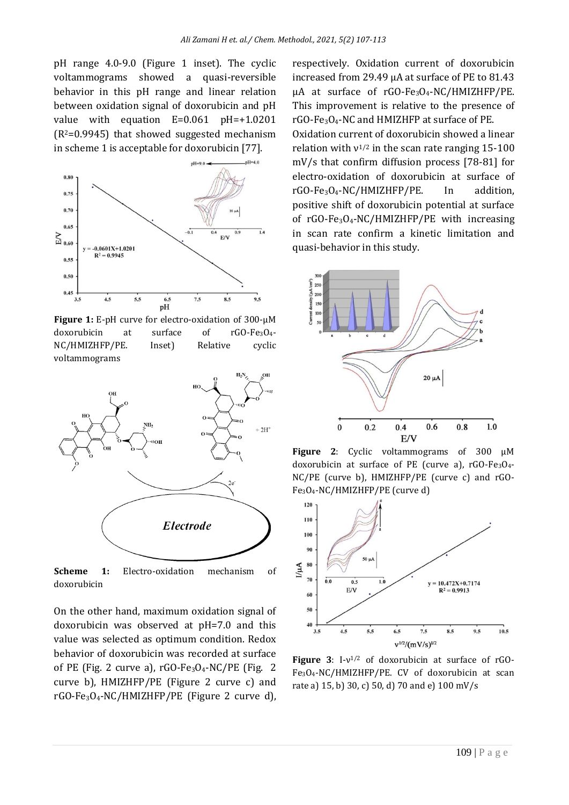pH range 4.0-9.0 (Figure 1 inset). The cyclic voltammograms showed a quasi-reversible behavior in this pH range and linear relation between oxidation signal of doxorubicin and pH value with equation E=0.061 pH=+1.0201  $(R<sup>2</sup>=0.9945)$  that showed suggested mechanism in scheme 1 is acceptable for doxorubicin [77].



**Figure 1:** E-pH curve for electro-oxidation of 300-µM doxorubicin at surface of rGO-Fe3O4- NC/HMIZHFP/PE. Inset) Relative cyclic voltammograms



**Scheme 1:** Electro-oxidation mechanism of doxorubicin

On the other hand, maximum oxidation signal of doxorubicin was observed at pH=7.0 and this value was selected as optimum condition. Redox behavior of doxorubicin was recorded at surface of PE (Fig. 2 curve a),  $rGO-Fe_3O_4-NC/PE$  (Fig. 2 curve b), HMIZHFP/PE (Figure 2 curve c) and rGO-Fe3O4-NC/HMIZHFP/PE (Figure 2 curve d), respectively. Oxidation current of doxorubicin increased from 29.49 µA at surface of PE to 81.43  $\mu$ A at surface of rGO-Fe<sub>3</sub>O<sub>4</sub>-NC/HMIZHFP/PE. This improvement is relative to the presence of rGO-Fe3O4-NC and HMIZHFP at surface of PE. Oxidation current of doxorubicin showed a linear relation with  $v^{1/2}$  in the scan rate ranging 15-100 mV/s that confirm diffusion process [78-81] for electro-oxidation of doxorubicin at surface of rGO-Fe3O4-NC/HMIZHFP/PE. In addition, positive shift of doxorubicin potential at surface of  $rGO-Fe<sub>3</sub>O<sub>4</sub>-NC/HMIZHFP/PE$  with increasing in scan rate confirm a kinetic limitation and quasi-behavior in this study.



**Figure 2**: Cyclic voltammograms of 300 µM doxorubicin at surface of PE (curve a), rGO-Fe<sub>3</sub>O<sub>4</sub>-NC/PE (curve b), HMIZHFP/PE (curve c) and rGO-Fe3O4-NC/HMIZHFP/PE (curve d)



**Figure 3**: I-ν 1/2 of doxorubicin at surface of rGO-Fe3O4-NC/HMIZHFP/PE. CV of doxorubicin at scan rate a) 15, b) 30, c) 50, d) 70 and e) 100 mV/s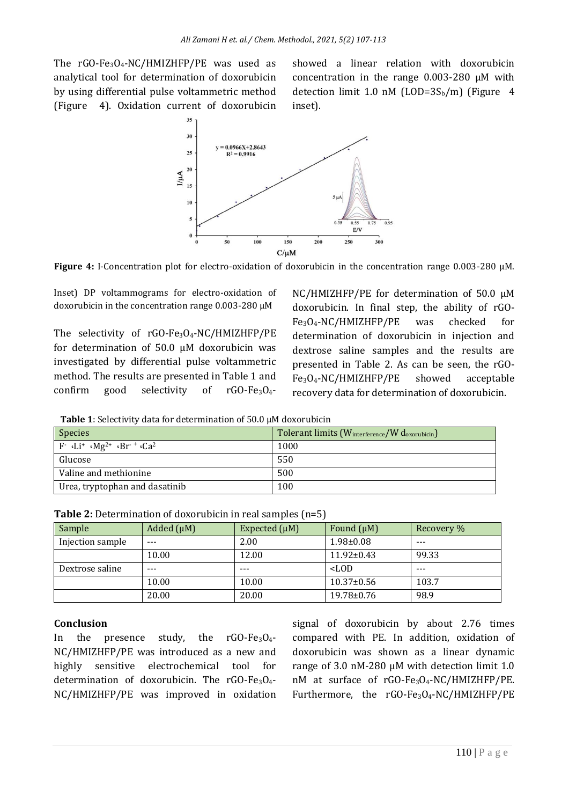The rGO-Fe3O4-NC/HMIZHFP/PE was used as analytical tool for determination of doxorubicin by using differential pulse voltammetric method (Figure 4). Oxidation current of doxorubicin showed a linear relation with doxorubicin concentration in the range 0.003-280 µM with detection limit 1.0 nM (LOD= $3S_b/m$ ) (Figure 4 inset).



**Figure 4:** I-Concentration plot for electro-oxidation of doxorubicin in the concentration range 0.003-280 µM.

Inset) DP voltammograms for electro-oxidation of doxorubicin in the concentration range 0.003-280 µM

The selectivity of rGO-Fe<sub>3</sub>O<sub>4</sub>-NC/HMIZHFP/PE for determination of 50.0 µM doxorubicin was investigated by differential pulse voltammetric method. The results are presented in Table 1 and confirm good selectivity of  $rGO-Fe_3O_4$ - NC/HMIZHFP/PE for determination of 50.0 µM doxorubicin. In final step, the ability of rGO-Fe3O4-NC/HMIZHFP/PE was checked for determination of doxorubicin in injection and dextrose saline samples and the results are presented in Table 2. As can be seen, the rGO-Fe3O4-NC/HMIZHFP/PE showed acceptable recovery data for determination of doxorubicin.

| <b>Table 1:</b> Selectivity data for determination of 50.0 $\mu$ M doxorubicin |  |
|--------------------------------------------------------------------------------|--|
|--------------------------------------------------------------------------------|--|

| <b>Species</b>                                                                | Tolerant limits (W <sub>interference</sub> /W d <sub>oxorubicin</sub> ) |
|-------------------------------------------------------------------------------|-------------------------------------------------------------------------|
| $F$ · Li <sup>+</sup> · Mg <sup>2+</sup> · Br <sup>-+</sup> · Ca <sup>2</sup> | 1000                                                                    |
| Glucose                                                                       | 550                                                                     |
| Valine and methionine                                                         | 500                                                                     |
| Urea, tryptophan and dasatinib                                                | 100                                                                     |

| Sample           | Added $(\mu M)$ | Expected $(\mu M)$ | Found $(\mu M)$  | Recovery % |
|------------------|-----------------|--------------------|------------------|------------|
| Injection sample | $- - -$         | 2.00               | $1.98 \pm 0.08$  | $- - -$    |
|                  | 10.00           | 12.00              | $11.92 \pm 0.43$ | 99.33      |
| Dextrose saline  | $- - -$         | $- - -$            | $<$ LOD          | $- - -$    |
|                  | 10.00           | 10.00              | $10.37 \pm 0.56$ | 103.7      |
|                  | 20.00           | 20.00              | $19.78 \pm 0.76$ | 98.9       |

### **Conclusion**

In the presence study, the  $rG0-Fe_3O_4$ -NC/HMIZHFP/PE was introduced as a new and highly sensitive electrochemical tool for determination of doxorubicin. The rGO-Fe<sub>3</sub>O<sub>4</sub>-NC/HMIZHFP/PE was improved in oxidation signal of doxorubicin by about 2.76 times compared with PE. In addition, oxidation of doxorubicin was shown as a linear dynamic range of 3.0 nM-280 µM with detection limit 1.0 nM at surface of rGO-Fe3O4-NC/HMIZHFP/PE. Furthermore, the rGO-Fe<sub>3</sub>O<sub>4</sub>-NC/HMIZHFP/PE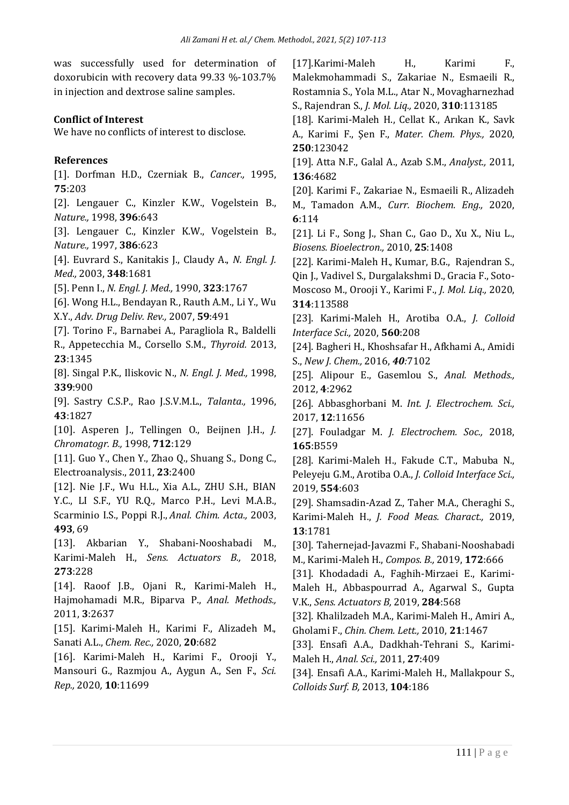was successfully used for determination of doxorubicin with recovery data 99.33 %-103.7% in injection and dextrose saline samples.

#### **Conflict of Interest**

We have no conflicts of interest to disclose.

#### **References**

[1]. Dorfman H.D., Czerniak B., *Cancer.,* 1995, **75**:203

[2]. Lengauer C., Kinzler K.W., Vogelstein B., *Nature.,* 1998, **396**:643

[3]. Lengauer C., Kinzler K.W., Vogelstein B., *Nature.,* 1997, **386**:623

[4]. Euvrard S., Kanitakis J., Claudy A., *N. Engl. J. Med.,* 2003, **348**:1681

[5]. Penn I., *N. Engl. J. Med.,* 1990, **323**:1767

[6]. Wong H.L., Bendayan R., Rauth A.M., Li Y., Wu

X.Y., *Adv. Drug Deliv. Rev.,* 2007, **59**:491

[7]. Torino F., Barnabei A., Paragliola R., Baldelli R., Appetecchia M., Corsello S.M., *Thyroid.* 2013, **23**:1345

[8]. Singal P.K., Iliskovic N., *N. Engl. J. Med.,* 1998, **339**:900

[9]. Sastry C.S.P., Rao J.S.V.M.L., *Talanta.,* 1996, **43**:1827

[10]. Asperen J., Tellingen O., Beijnen J.H., *J. Chromatogr. B.,* 1998, **712**:129

[11]. Guo Y., Chen Y., Zhao Q., Shuang S., Dong C., Electroanalysis., 2011, **23**:2400

[12]. Nie J.F., Wu H.L., Xia A.L., ZHU S.H., BIAN Y.C., LI S.F., YU R.Q., Marco P.H., Levi M.A.B., Scarminio I.S., Poppi R.J., *Anal. Chim. Acta.,* 2003, **493**, 69

[13]. Akbarian Y., Shabani-Nooshabadi M., Karimi-Maleh H., *Sens. Actuators B.,* 2018, **273**:228

[14]. Raoof J.B., Ojani R., Karimi-Maleh H., Hajmohamadi M.R., Biparva P., *Anal. Methods.,* 2011, **3**:2637

[15]. Karimi‐Maleh H., Karimi F., Alizadeh M., Sanati A.L., *Chem. Rec.,* 2020, **20**:682

[16]. Karimi-Maleh H., Karimi F., Orooji Y., Mansouri G., Razmjou A., Aygun A., Sen F., *Sci. Rep.,* 2020*,* **10**:11699

[17].Karimi-Maleh H., Karimi F., Malekmohammadi S., Zakariae N., Esmaeili R., Rostamnia S., Yola M.L., Atar N., Movagharnezhad S., Rajendran S., *J. Mol. Liq.,* 2020, **310**:113185

[18]. Karimi-Maleh H., Cellat K., Arıkan K., Savk A., Karimi F., Şen F., *Mater. Chem. Phys.,* 2020, **250**:123042

[19]. Atta N.F., Galal A., Azab S.M., *Analyst.,* 2011, **136**:4682

[20]. Karimi F., Zakariae N., Esmaeili R., Alizadeh M., Tamadon A.M., *Curr. Biochem. Eng.,* 2020, **6**:114

[21]. Li F., Song J., Shan C., Gao D., Xu X., Niu L., *Biosens. Bioelectron.,* 2010, **25**:1408

[22]. Karimi-Maleh H., Kumar, B.G., Rajendran S., Qin J., Vadivel S., Durgalakshmi D., Gracia F., Soto-Moscoso M., Orooji Y., Karimi F., *J. Mol. Liq.,* 2020, **314**:113588

[23]. Karimi-Maleh H., Arotiba O.A., *J. Colloid Interface Sci.,* 2020, **560**:208

[24]. Bagheri H., Khoshsafar H., Afkhami A., Amidi S., *New J. Chem.,* 2016, *40:*7102

[25]. Alipour E., Gasemlou S., *Anal. Methods.,* 2012, **4**:2962

[26]. Abbasghorbani M. *Int. J. Electrochem. Sci.,* 2017, **12**:11656

[27]. Fouladgar M. *J. Electrochem. Soc.,* 2018, **165**:B559

[28]. Karimi-Maleh H., Fakude C.T., Mabuba N., Peleyeju G.M., Arotiba O.A., *J. Colloid Interface Sci.,* 2019, **554**:603

[29]. Shamsadin-Azad Z., Taher M.A., Cheraghi S., Karimi-Maleh H., *J. Food Meas. Charact.,* 2019, **13**:1781

[30]. Tahernejad-Javazmi F., Shabani-Nooshabadi M., Karimi-Maleh H., *Compos. B.,* 2019, **172**:666

[31]. Khodadadi A., Faghih-Mirzaei E., Karimi-Maleh H., Abbaspourrad A., Agarwal S., Gupta V.K., *Sens. Actuators B,* 2019, **284**:568

[32]. Khalilzadeh M.A., Karimi-Maleh H., Amiri A., Gholami F., *Chin. Chem. Lett.,* 2010, **21**:1467

[33]. Ensafi A.A., Dadkhah-Tehrani S., Karimi-Maleh H., *Anal. Sci.,* 2011, **27**:409

[34]. Ensafi A.A., Karimi-Maleh H., Mallakpour S., *Colloids Surf. B,* 2013, **104**:186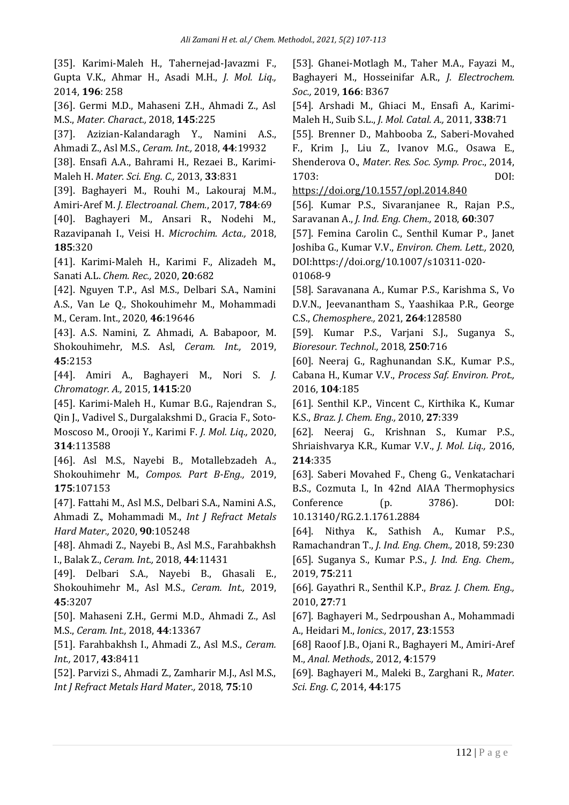[35]. Karimi-Maleh H., Tahernejad-Javazmi F., Gupta V.K., Ahmar H., Asadi M.H., *J. Mol. Liq.,* 2014, **196**: 258

[36]. Germi M.D., Mahaseni Z.H., Ahmadi Z., Asl M.S., *Mater. Charact.,* 2018, **145**:225

[37]. Azizian-Kalandaragh Y., Namini A.S., Ahmadi Z., Asl M.S., *Ceram. Int.,* 2018, **44**:19932

[38]. Ensafi A.A., Bahrami H., Rezaei B., Karimi-Maleh H. *Mater. Sci. Eng. C.,* 2013, **33**:831

[39]. Baghayeri M., Rouhi M., Lakouraj M.M., Amiri-Aref M. *J. Electroanal. Chem.*, 2017, **784**:69

[40]. Baghayeri M., Ansari R., Nodehi M., Razavipanah I., Veisi H. *Microchim. Acta.,* 2018, **185**:320

[41]. Karimi‐Maleh H., Karimi F., Alizadeh M., Sanati A.L. *Chem. Rec.,* 2020, **20**:682

[42]. Nguyen T.P., Asl M.S., Delbari S.A., Namini A.S., Van Le Q., Shokouhimehr M., Mohammadi M., Ceram. Int., 2020, **46**:19646

[43]. A.S. Namini, Z. Ahmadi, A. Babapoor, M. Shokouhimehr, M.S. Asl, *Ceram. Int.,* 2019, **45**:2153

[44]. Amiri A., Baghayeri M., Nori S. *J. Chromatogr. A.,* 2015, **1415**:20

[45]. Karimi-Maleh H., Kumar B.G., Rajendran S., Qin J., Vadivel S., Durgalakshmi D., Gracia F., Soto-Moscoso M., Orooji Y., Karimi F. *J. Mol. Liq.,* 2020, **314**:113588

[46]. Asl M.S., Nayebi B., Motallebzadeh A., Shokouhimehr M., *Compos. Part B-Eng.,* 2019, **175**:107153

[47]. Fattahi M., Asl M.S., Delbari S.A., Namini A.S., Ahmadi Z., Mohammadi M., *Int J Refract Metals Hard Mater.,* 2020, **90**:105248

[48]. Ahmadi Z., Nayebi B., Asl M.S., Farahbakhsh I., Balak Z., *Ceram. Int.,* 2018, **44**:11431

[49]. Delbari S.A., Nayebi B., Ghasali E., Shokouhimehr M., Asl M.S., *Ceram. Int.,* 2019, **45**:3207

[50]. Mahaseni Z.H., Germi M.D., Ahmadi Z., Asl M.S., *Ceram. Int.,* 2018, **44**:13367

[51]. Farahbakhsh I., Ahmadi Z., Asl M.S., *Ceram. Int.,* 2017, **43**:8411

[52]. Parvizi S., Ahmadi Z., Zamharir M.J., Asl M.S., *Int J Refract Metals Hard Mater.,* 2018, **75**:10

[53]. Ghanei-Motlagh M., Taher M.A., Fayazi M., Baghayeri M., Hosseinifar A.R., *J. Electrochem. Soc.,* 2019, **166**: B367

[54]. Arshadi M., Ghiaci M., Ensafi A., Karimi-Maleh H., Suib S.L., *J. Mol. Catal. A.,* 2011, **338**:71

[55]. Brenner D., Mahbooba Z., Saberi-Movahed F., Krim J., Liu Z., Ivanov M.G., Osawa E., Shenderova O., *Mater. Res. Soc. Symp. Proc*., 2014, 1703: DOI:

<https://doi.org/10.1557/opl.2014.840>

[56]. Kumar P.S., Sivaranjanee R., Rajan P.S., Saravanan A., *J. Ind. Eng. Chem.,* 2018, **60**:307

[57]. Femina Carolin C., Senthil Kumar P., Janet Joshiba G., Kumar V.V., *Environ. Chem. Lett.,* 2020, DOI:https://doi.org/10.1007/s10311-020- 01068-9

[58]. Saravanana A., Kumar P.S., Karishma S., Vo D.V.N., Jeevanantham S., Yaashikaa P.R., George C.S., *Chemosphere.,* 2021, **264**:128580

[59]. Kumar P.S., Varjani S.J., Suganya S., *Bioresour. Technol.,* 2018, **250**:716

[60]. Neeraj G., Raghunandan S.K., Kumar P.S., Cabana H., Kumar V.V., *Process Saf. Environ. Prot.,* 2016, **104**:185

[61]. Senthil K.P., Vincent C., Kirthika K., Kumar K.S., *Braz. J. Chem. Eng.,* 2010, **27**:339

[62]. Neeraj G., Krishnan S., Kumar P.S., Shriaishvarya K.R., Kumar V.V., *J. Mol. Liq.,* 2016, **214**:335

[63]. Saberi Movahed F., Cheng G., Venkatachari B**.**S., Cozmuta I., In 42nd AIAA Thermophysics Conference (p. 3786). DOI: 10.13140/RG.2.1.1761.2884

[64]. Nithya K., Sathish A., Kumar P.S., Ramachandran T., *J. Ind. Eng. Chem.,* 2018, 59:230 [65]. Suganya S., Kumar P.S., *J. Ind. Eng. Chem.,* 2019, **75**:211

[66]. Gayathri R., Senthil K.P., *Braz. J. Chem. Eng.,* 2010, **27**:71

[67]. Baghayeri M., Sedrpoushan A., Mohammadi A., Heidari M., *Ionics.,* 2017, **23**:1553

[68] Raoof J.B., Ojani R., Baghayeri M., Amiri-Aref M., *Anal. Methods.,* 2012, **4**:1579

[69]. Baghayeri M., Maleki B., Zarghani R., *Mater. Sci. Eng. C,* 2014, **44**:175